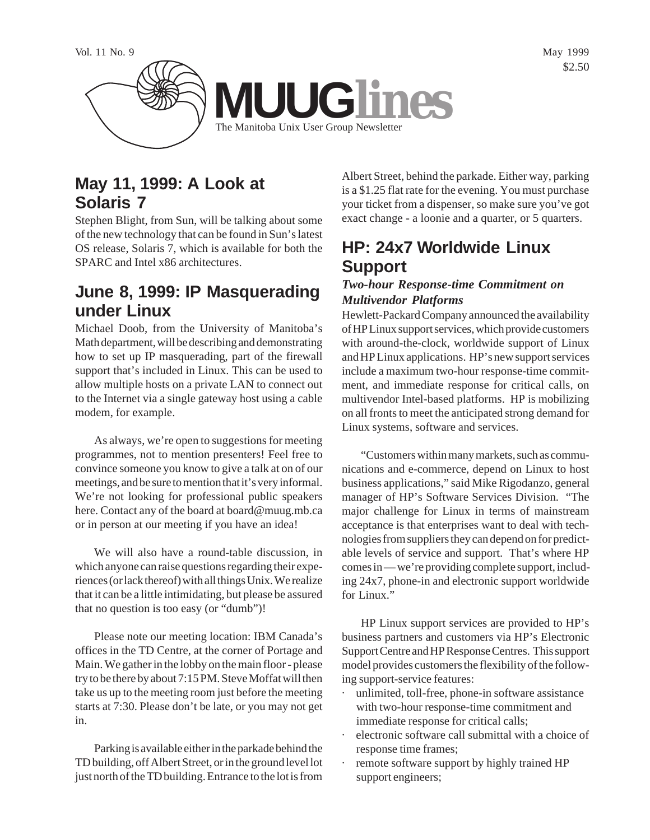

## **May 11, 1999: A Look at Solaris 7**

Stephen Blight, from Sun, will be talking about some of the new technology that can be found in Sun's latest OS release, Solaris 7, which is available for both the SPARC and Intel x86 architectures.

## **June 8, 1999: IP Masquerading under Linux**

Michael Doob, from the University of Manitoba's Math department, will be describing and demonstrating how to set up IP masquerading, part of the firewall support that's included in Linux. This can be used to allow multiple hosts on a private LAN to connect out to the Internet via a single gateway host using a cable modem, for example.

As always, we're open to suggestions for meeting programmes, not to mention presenters! Feel free to convince someone you know to give a talk at on of our meetings, and be sure to mention that it's very informal. We're not looking for professional public speakers here. Contact any of the board at board@muug.mb.ca or in person at our meeting if you have an idea!

We will also have a round-table discussion, in which anyone can raise questions regarding their experiences (or lack thereof) with all things Unix. We realize that it can be a little intimidating, but please be assured that no question is too easy (or "dumb")!

Please note our meeting location: IBM Canada's offices in the TD Centre, at the corner of Portage and Main. We gather in the lobby on the main floor - please try to be there by about 7:15 PM. Steve Moffat will then take us up to the meeting room just before the meeting starts at 7:30. Please don't be late, or you may not get in.

Parking is available either in the parkade behind the TD building, off Albert Street, or in the ground level lot just north of the TD building. Entrance to the lot is from

Albert Street, behind the parkade. Either way, parking is a \$1.25 flat rate for the evening. You must purchase your ticket from a dispenser, so make sure you've got exact change - a loonie and a quarter, or 5 quarters.

# **HP: 24x7 Worldwide Linux Support**

#### *Two-hour Response-time Commitment on Multivendor Platforms*

Hewlett-Packard Company announced the availability of HP Linux support services, which provide customers with around-the-clock, worldwide support of Linux and HP Linux applications. HP's new support services include a maximum two-hour response-time commitment, and immediate response for critical calls, on multivendor Intel-based platforms. HP is mobilizing on all fronts to meet the anticipated strong demand for Linux systems, software and services.

"Customers within many markets, such as communications and e-commerce, depend on Linux to host business applications," said Mike Rigodanzo, general manager of HP's Software Services Division. "The major challenge for Linux in terms of mainstream acceptance is that enterprises want to deal with technologies from suppliers they can depend on for predictable levels of service and support. That's where HP comes in — we're providing complete support, including 24x7, phone-in and electronic support worldwide for Linux."

HP Linux support services are provided to HP's business partners and customers via HP's Electronic Support Centre and HP Response Centres. This support model provides customers the flexibility of the following support-service features:

- unlimited, toll-free, phone-in software assistance with two-hour response-time commitment and immediate response for critical calls;
- electronic software call submittal with a choice of response time frames;
- · remote software support by highly trained HP support engineers;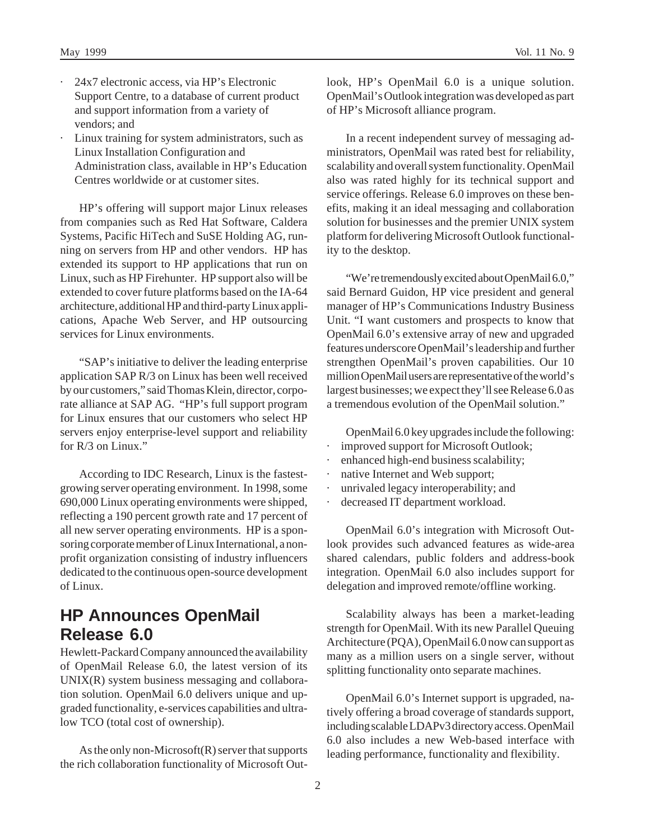- · 24x7 electronic access, via HP's Electronic Support Centre, to a database of current product and support information from a variety of vendors; and
- Linux training for system administrators, such as Linux Installation Configuration and Administration class, available in HP's Education Centres worldwide or at customer sites.

HP's offering will support major Linux releases from companies such as Red Hat Software, Caldera Systems, Pacific HiTech and SuSE Holding AG, running on servers from HP and other vendors. HP has extended its support to HP applications that run on Linux, such as HP Firehunter. HP support also will be extended to cover future platforms based on the IA-64 architecture, additional HP and third-party Linux applications, Apache Web Server, and HP outsourcing services for Linux environments.

"SAP's initiative to deliver the leading enterprise application SAP R/3 on Linux has been well received by our customers," said Thomas Klein, director, corporate alliance at SAP AG. "HP's full support program for Linux ensures that our customers who select HP servers enjoy enterprise-level support and reliability for  $R/3$  on Linux."

According to IDC Research, Linux is the fastestgrowing server operating environment. In 1998, some 690,000 Linux operating environments were shipped, reflecting a 190 percent growth rate and 17 percent of all new server operating environments. HP is a sponsoring corporate member of Linux International, a nonprofit organization consisting of industry influencers dedicated to the continuous open-source development of Linux.

#### **HP Announces OpenMail Release 6.0**

Hewlett-Packard Company announced the availability of OpenMail Release 6.0, the latest version of its UNIX(R) system business messaging and collaboration solution. OpenMail 6.0 delivers unique and upgraded functionality, e-services capabilities and ultralow TCO (total cost of ownership).

As the only non-Microsoft(R) server that supports the rich collaboration functionality of Microsoft Outlook, HP's OpenMail 6.0 is a unique solution. OpenMail's Outlook integration was developed as part of HP's Microsoft alliance program.

In a recent independent survey of messaging administrators, OpenMail was rated best for reliability, scalability and overall system functionality. OpenMail also was rated highly for its technical support and service offerings. Release 6.0 improves on these benefits, making it an ideal messaging and collaboration solution for businesses and the premier UNIX system platform for delivering Microsoft Outlook functionality to the desktop.

"We're tremendously excited about OpenMail 6.0," said Bernard Guidon, HP vice president and general manager of HP's Communications Industry Business Unit. "I want customers and prospects to know that OpenMail 6.0's extensive array of new and upgraded features underscore OpenMail's leadership and further strengthen OpenMail's proven capabilities. Our 10 million OpenMail users are representative of the world's largest businesses; we expect they'll see Release 6.0 as a tremendous evolution of the OpenMail solution."

OpenMail 6.0 key upgrades include the following:

- improved support for Microsoft Outlook;
- enhanced high-end business scalability;
- native Internet and Web support;
- · unrivaled legacy interoperability; and
- decreased IT department workload.

OpenMail 6.0's integration with Microsoft Outlook provides such advanced features as wide-area shared calendars, public folders and address-book integration. OpenMail 6.0 also includes support for delegation and improved remote/offline working.

Scalability always has been a market-leading strength for OpenMail. With its new Parallel Queuing Architecture (PQA), OpenMail 6.0 now can support as many as a million users on a single server, without splitting functionality onto separate machines.

OpenMail 6.0's Internet support is upgraded, natively offering a broad coverage of standards support, including scalable LDAPv3 directory access. OpenMail 6.0 also includes a new Web-based interface with leading performance, functionality and flexibility.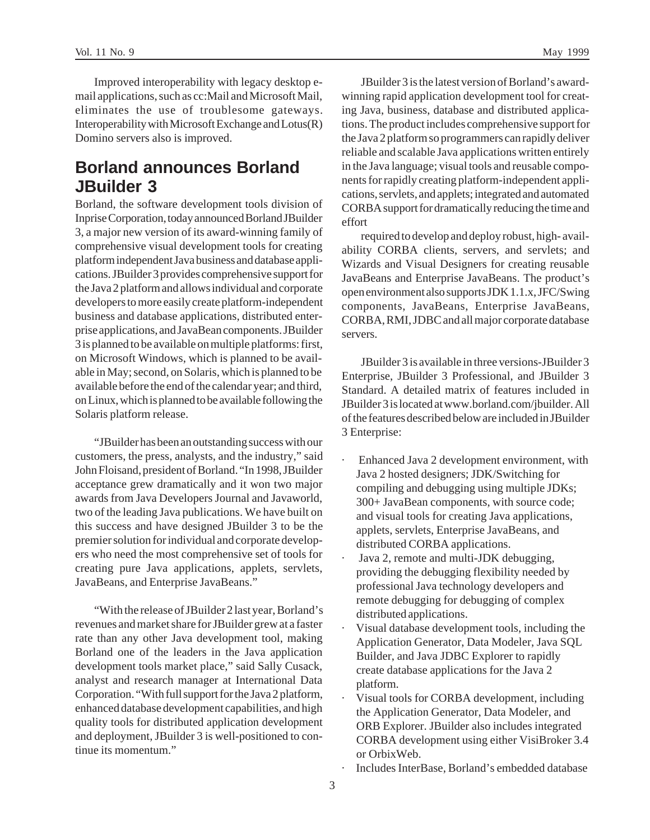Improved interoperability with legacy desktop email applications, such as cc:Mail and Microsoft Mail, eliminates the use of troublesome gateways. Interoperability with Microsoft Exchange and Lotus(R) Domino servers also is improved.

#### **Borland announces Borland JBuilder 3**

Borland, the software development tools division of Inprise Corporation, today announced Borland JBuilder 3, a major new version of its award-winning family of comprehensive visual development tools for creating platform independent Java business and database applications. JBuilder 3 provides comprehensive support for the Java 2 platform and allows individual and corporate developers to more easily create platform-independent business and database applications, distributed enterprise applications, and JavaBean components. JBuilder 3 is planned to be available on multiple platforms: first, on Microsoft Windows, which is planned to be available in May; second, on Solaris, which is planned to be available before the end of the calendar year; and third, on Linux, which is planned to be available following the Solaris platform release.

"JBuilder has been an outstanding success with our customers, the press, analysts, and the industry," said John Floisand, president of Borland. "In 1998, JBuilder acceptance grew dramatically and it won two major awards from Java Developers Journal and Javaworld, two of the leading Java publications. We have built on this success and have designed JBuilder 3 to be the premier solution for individual and corporate developers who need the most comprehensive set of tools for creating pure Java applications, applets, servlets, JavaBeans, and Enterprise JavaBeans."

"With the release of JBuilder 2 last year, Borland's revenues and market share for JBuilder grew at a faster rate than any other Java development tool, making Borland one of the leaders in the Java application development tools market place," said Sally Cusack, analyst and research manager at International Data Corporation. "With full support for the Java 2 platform, enhanced database development capabilities, and high quality tools for distributed application development and deployment, JBuilder 3 is well-positioned to continue its momentum."

JBuilder 3 is the latest version of Borland's awardwinning rapid application development tool for creating Java, business, database and distributed applications. The product includes comprehensive support for the Java 2 platform so programmers can rapidly deliver reliable and scalable Java applications written entirely in the Java language; visual tools and reusable components for rapidly creating platform-independent applications, servlets, and applets; integrated and automated CORBA support for dramatically reducing the time and effort

required to develop and deploy robust, high- availability CORBA clients, servers, and servlets; and Wizards and Visual Designers for creating reusable JavaBeans and Enterprise JavaBeans. The product's open environment also supports JDK 1.1.x, JFC/Swing components, JavaBeans, Enterprise JavaBeans, CORBA, RMI, JDBC and all major corporate database servers.

JBuilder 3 is available in three versions-JBuilder 3 Enterprise, JBuilder 3 Professional, and JBuilder 3 Standard. A detailed matrix of features included in JBuilder 3 is located at www.borland.com/jbuilder. All of the features described below are included in JBuilder 3 Enterprise:

- Enhanced Java 2 development environment, with Java 2 hosted designers; JDK/Switching for compiling and debugging using multiple JDKs; 300+ JavaBean components, with source code; and visual tools for creating Java applications, applets, servlets, Enterprise JavaBeans, and distributed CORBA applications.
- Java 2, remote and multi-JDK debugging, providing the debugging flexibility needed by professional Java technology developers and remote debugging for debugging of complex distributed applications.
- Visual database development tools, including the Application Generator, Data Modeler, Java SQL Builder, and Java JDBC Explorer to rapidly create database applications for the Java 2 platform.
- Visual tools for CORBA development, including the Application Generator, Data Modeler, and ORB Explorer. JBuilder also includes integrated CORBA development using either VisiBroker 3.4 or OrbixWeb.
- Includes InterBase, Borland's embedded database